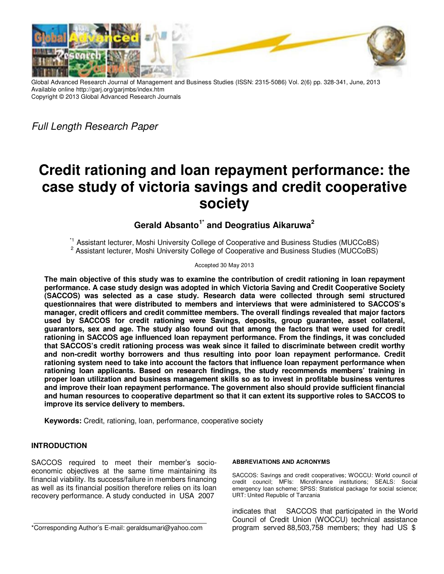

Global Advanced Research Journal of Management and Business Studies (ISSN: 2315-5086) Vol. 2(6) pp. 328-341, June, 2013 Available online http://garj.org/garjmbs/index.htm Copyright © 2013 Global Advanced Research Journals

Full Length Research Paper

# **Credit rationing and loan repayment performance: the case study of victoria savings and credit cooperative society**

## **Gerald Absanto1\* and Deogratius Aikaruwa<sup>2</sup>**

<sup>\*1</sup> Assistant lecturer, Moshi University College of Cooperative and Business Studies (MUCCoBS) <sup>2</sup> Assistant lecturer, Moshi University College of Cooperative and Business Studies (MUCCoBS)

## Accepted 30 May 2013

**The main objective of this study was to examine the contribution of credit rationing in loan repayment performance. A case study design was adopted in which Victoria Saving and Credit Cooperative Society (SACCOS) was selected as a case study. Research data were collected through semi structured questionnaires that were distributed to members and interviews that were administered to SACCOS's manager, credit officers and credit committee members. The overall findings revealed that major factors used by SACCOS for credit rationing were Savings, deposits, group guarantee, asset collateral, guarantors, sex and age. The study also found out that among the factors that were used for credit rationing in SACCOS age influenced loan repayment performance. From the findings, it was concluded that SACCOS's credit rationing process was weak since it failed to discriminate between credit worthy and non-credit worthy borrowers and thus resulting into poor loan repayment performance. Credit rationing system need to take into account the factors that influence loan repayment performance when rationing loan applicants. Based on research findings, the study recommends members' training in proper loan utilization and business management skills so as to invest in profitable business ventures and improve their loan repayment performance. The government also should provide sufficient financial and human resources to cooperative department so that it can extent its supportive roles to SACCOS to improve its service delivery to members.** 

**Keywords:** Credit, rationing, loan, performance, cooperative society

## **INTRODUCTION**

SACCOS required to meet their member's socioeconomic objectives at the same time maintaining its financial viability. Its success/failure in members financing as well as its financial position therefore relies on its loan recovery performance. A study conducted in USA 2007

#### **ABBREVIATIONS AND ACRONYMS**

SACCOS: Savings and credit cooperatives; WOCCU: World council of credit council; MFIs: Microfinance institutions; SEALS: Social emergency loan scheme; SPSS: Statistical package for social science; URT: United Republic of Tanzania

indicates that SACCOS that participated in the World Council of Credit Union (WOCCU) technical assistance program served 88,503,758 members; they had US \$

<sup>\*</sup>Corresponding Author's E-mail: geraldsumari@yahoo.com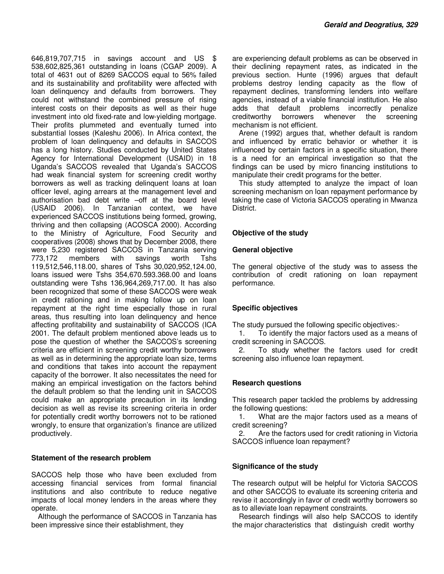646,819,707,715 in savings account and US \$ 538,602,825,361 outstanding in loans (CGAP 2009). A total of 4631 out of 8269 SACCOS equal to 56% failed and its sustainability and profitability were affected with loan delinquency and defaults from borrowers. They could not withstand the combined pressure of rising interest costs on their deposits as well as their huge investment into old fixed-rate and low-yielding mortgage. Their profits plummeted and eventually turned into substantial losses (Kaleshu 2006). In Africa context, the problem of loan delinquency and defaults in SACCOS has a long history. Studies conducted by United States Agency for International Development (USAID) in 18 Uganda's SACCOS revealed that Uganda's SACCOS had weak financial system for screening credit worthy borrowers as well as tracking delinquent loans at loan officer level, aging arrears at the management level and authorisation bad debt write –off at the board level (USAID 2006). In Tanzanian context, we have experienced SACCOS institutions being formed, growing, thriving and then collapsing (ACOSCA 2000). According to the Ministry of Agriculture, Food Security and cooperatives (2008) shows that by December 2008, there were 5,230 registered SACCOS in Tanzania serving 773,172 members with savings worth Tshs 119,512,546,118.00, shares of Tshs 30,020,952,124.00, loans issued were Tshs 354,670.593.368.00 and loans outstanding were Tshs 136,964,269,717.00. It has also been recognized that some of these SACCOS were weak in credit rationing and in making follow up on loan repayment at the right time especially those in rural areas, thus resulting into loan delinquency and hence affecting profitability and sustainability of SACCOS (ICA 2001. The default problem mentioned above leads us to pose the question of whether the SACCOS's screening criteria are efficient in screening credit worthy borrowers as well as in determining the appropriate loan size, terms and conditions that takes into account the repayment capacity of the borrower. It also necessitates the need for making an empirical investigation on the factors behind the default problem so that the lending unit in SACCOS could make an appropriate precaution in its lending decision as well as revise its screening criteria in order for potentially credit worthy borrowers not to be rationed wrongly, to ensure that organization's finance are utilized productively.

## **Statement of the research problem**

SACCOS help those who have been excluded from accessing financial services from formal financial institutions and also contribute to reduce negative impacts of local money lenders in the areas where they operate.

Although the performance of SACCOS in Tanzania has been impressive since their establishment, they

are experiencing default problems as can be observed in their declining repayment rates, as indicated in the previous section. Hunte (1996) argues that default problems destroy lending capacity as the flow of repayment declines, transforming lenders into welfare agencies, instead of a viable financial institution. He also adds that default problems incorrectly penalize creditworthy borrowers whenever the screening mechanism is not efficient.

Arene (1992) argues that, whether default is random and influenced by erratic behavior or whether it is influenced by certain factors in a specific situation, there is a need for an empirical investigation so that the findings can be used by micro financing institutions to manipulate their credit programs for the better.

This study attempted to analyze the impact of loan screening mechanism on loan repayment performance by taking the case of Victoria SACCOS operating in Mwanza District.

## **Objective of the study**

#### **General objective**

The general objective of the study was to assess the contribution of credit rationing on loan repayment performance.

## **Specific objectives**

The study pursued the following specific objectives:-

1. To identify the major factors used as a means of credit screening in SACCOS.

2. To study whether the factors used for credit screening also influence loan repayment.

## **Research questions**

This research paper tackled the problems by addressing the following questions:

1. What are the major factors used as a means of credit screening?

2. Are the factors used for credit rationing in Victoria SACCOS influence loan repayment?

## **Significance of the study**

The research output will be helpful for Victoria SACCOS and other SACCOS to evaluate its screening criteria and revise it accordingly in favor of credit worthy borrowers so as to alleviate loan repayment constraints.

Research findings will also help SACCOS to identify the major characteristics that distinguish credit worthy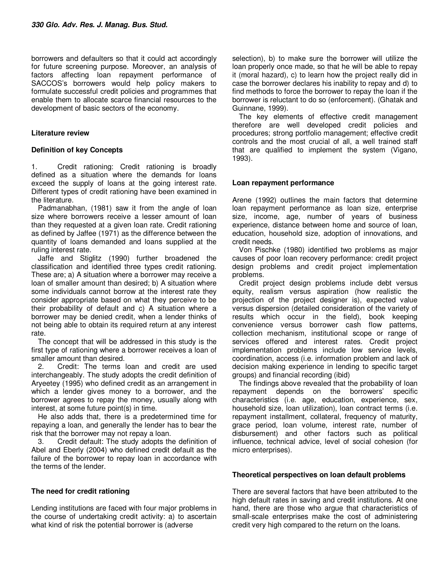borrowers and defaulters so that it could act accordingly for future screening purpose. Moreover, an analysis of factors affecting loan repayment performance of SACCOS's borrowers would help policy makers to formulate successful credit policies and programmes that enable them to allocate scarce financial resources to the development of basic sectors of the economy.

## **Literature review**

## **Definition of key Concepts**

1. Credit rationing: Credit rationing is broadly defined as a situation where the demands for loans exceed the supply of loans at the going interest rate. Different types of credit rationing have been examined in the literature.

Padmanabhan, (1981) saw it from the angle of loan size where borrowers receive a lesser amount of loan than they requested at a given loan rate. Credit rationing as defined by Jaffee (1971) as the difference between the quantity of loans demanded and loans supplied at the ruling interest rate.

Jaffe and Stiglitz (1990) further broadened the classification and identified three types credit rationing. These are; a) A situation where a borrower may receive a loan of smaller amount than desired; b) A situation where some individuals cannot borrow at the interest rate they consider appropriate based on what they perceive to be their probability of default and c) A situation where a borrower may be denied credit, when a lender thinks of not being able to obtain its required return at any interest rate.

The concept that will be addressed in this study is the first type of rationing where a borrower receives a loan of smaller amount than desired.

2. Credit: The terms loan and credit are used interchangeably. The study adopts the credit definition of Aryeetey (1995) who defined credit as an arrangement in which a lender gives money to a borrower, and the borrower agrees to repay the money, usually along with interest, at some future point(s) in time.

He also adds that, there is a predetermined time for repaying a loan, and generally the lender has to bear the risk that the borrower may not repay a loan.

3. Credit default: The study adopts the definition of Abel and Eberly (2004) who defined credit default as the failure of the borrower to repay loan in accordance with the terms of the lender.

## **The need for credit rationing**

Lending institutions are faced with four major problems in the course of undertaking credit activity: a) to ascertain what kind of risk the potential borrower is (adverse

selection), b) to make sure the borrower will utilize the loan properly once made, so that he will be able to repay it (moral hazard), c) to learn how the project really did in case the borrower declares his inability to repay and d) to find methods to force the borrower to repay the loan if the borrower is reluctant to do so (enforcement). (Ghatak and Guinnane, 1999).

The key elements of effective credit management therefore are well developed credit policies and procedures; strong portfolio management; effective credit controls and the most crucial of all, a well trained staff that are qualified to implement the system (Vigano, 1993).

## **Loan repayment performance**

Arene (1992) outlines the main factors that determine loan repayment performance as loan size, enterprise size, income, age, number of years of business experience, distance between home and source of loan, education, household size, adoption of innovations, and credit needs.

Von Pischke (1980) identified two problems as major causes of poor loan recovery performance: credit project design problems and credit project implementation problems.

Credit project design problems include debt versus equity, realism versus aspiration (how realistic the projection of the project designer is), expected value versus dispersion (detailed consideration of the variety of results which occur in the field), book keeping convenience versus borrower cash flow patterns, collection mechanism, institutional scope or range of services offered and interest rates. Credit project implementation problems include low service levels, coordination, access (i.e. information problem and lack of decision making experience in lending to specific target groups) and financial recording (ibid)

The findings above revealed that the probability of loan repayment depends on the borrowers' specific characteristics (i.e. age, education, experience, sex, household size, loan utilization), loan contract terms (i.e. repayment installment, collateral, frequency of maturity, grace period, loan volume, interest rate, number of disbursement) and other factors such as political influence, technical advice, level of social cohesion (for micro enterprises).

## **Theoretical perspectives on loan default problems**

There are several factors that have been attributed to the high default rates in saving and credit institutions. At one hand, there are those who argue that characteristics of small-scale enterprises make the cost of administering credit very high compared to the return on the loans.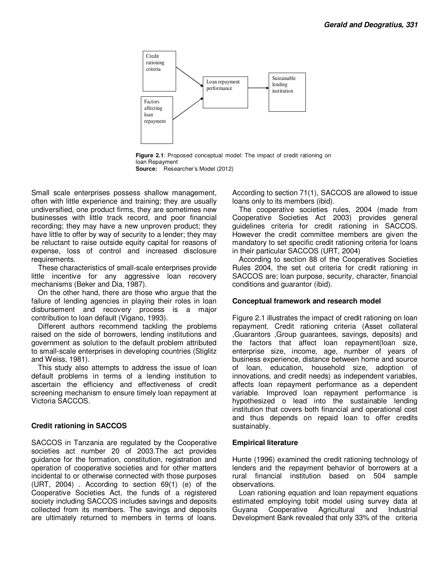

**Figure 2.1**: Proposed conceptual model: The impact of credit rationing on loan Repayment **Source:** Researcher's Model (2012)

Small scale enterprises possess shallow management, often with little experience and training; they are usually undiversified, one product firms, they are sometimes new businesses with little track record, and poor financial recording; they may have a new unproven product; they have little to offer by way of security to a lender; they may be reluctant to raise outside equity capital for reasons of expense, loss of control and increased disclosure requirements.

These characteristics of small-scale enterprises provide little incentive for any aggressive loan recovery mechanisms (Beker and Dia, 1987).

On the other hand, there are those who argue that the failure of lending agencies in playing their roles in loan disbursement and recovery process is a major contribution to loan default (Vigano, 1993).

Different authors recommend tackling the problems raised on the side of borrowers, lending institutions and government as solution to the default problem attributed to small-scale enterprises in developing countries (Stiglitz and Weiss, 1981).

This study also attempts to address the issue of loan default problems in terms of a lending institution to ascertain the efficiency and effectiveness of credit screening mechanism to ensure timely loan repayment at Victoria SACCOS.

## **Credit rationing in SACCOS**

SACCOS in Tanzania are regulated by the Cooperative societies act number 20 of 2003.The act provides guidance for the formation, constitution, registration and operation of cooperative societies and for other matters incidental to or otherwise connected with those purposes (URT, 2004) . According to section 69(1) (e) of the Cooperative Societies Act, the funds of a registered society including SACCOS includes savings and deposits collected from its members. The savings and deposits are ultimately returned to members in terms of loans. According to section 71(1), SACCOS are allowed to issue loans only to its members (ibid).

The cooperative societies rules, 2004 (made from Cooperative Societies Act 2003) provides general guidelines criteria for credit rationing in SACCOS. However the credit committee members are given the mandatory to set specific credit rationing criteria for loans in their particular SACCOS (URT, 2004)

According to section 88 of the Cooperatives Societies Rules 2004, the set out criteria for credit rationing in SACCOS are; loan purpose, security, character, financial conditions and guarantor (ibid).

## **Conceptual framework and research model**

Figure 2.1 illustrates the impact of credit rationing on loan repayment. Credit rationing criteria (Asset collateral ,Guarantors ,Group guarantees, savings, deposits) and the factors that affect loan repayment(loan size, enterprise size, income, age, number of years of business experience, distance between home and source of loan, education, household size, adoption of innovations, and credit needs) as independent variables, affects loan repayment performance as a dependent variable. Improved loan repayment performance is hypothesized o lead into the sustainable lending institution that covers both financial and operational cost and thus depends on repaid loan to offer credits sustainably.

## **Empirical literature**

Hunte (1996) examined the credit rationing technology of lenders and the repayment behavior of borrowers at a rural financial institution based on 504 sample observations.

Loan rationing equation and loan repayment equations estimated employing tobit model using survey data at Guyana Cooperative Agricultural and Industrial Development Bank revealed that only 33% of the criteria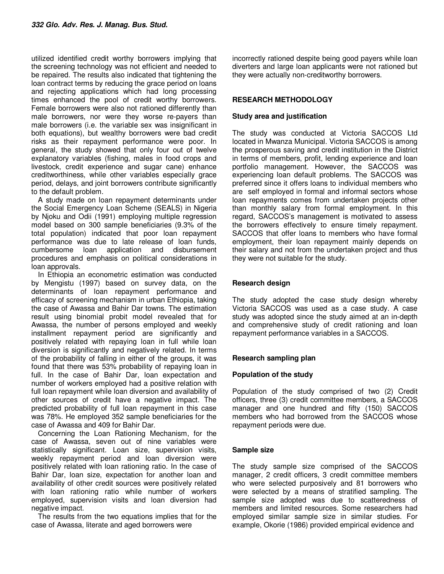utilized identified credit worthy borrowers implying that the screening technology was not efficient and needed to be repaired. The results also indicated that tightening the loan contract terms by reducing the grace period on loans and rejecting applications which had long processing times enhanced the pool of credit worthy borrowers. Female borrowers were also not rationed differently than male borrowers, nor were they worse re-payers than male borrowers (i.e. the variable sex was insignificant in both equations), but wealthy borrowers were bad credit risks as their repayment performance were poor. In general, the study showed that only four out of twelve explanatory variables (fishing, males in food crops and livestock, credit experience and sugar cane) enhance creditworthiness, while other variables especially grace period, delays, and joint borrowers contribute significantly to the default problem.

A study made on loan repayment determinants under the Social Emergency Loan Scheme (SEALS) in Nigeria by Njoku and Odii (1991) employing multiple regression model based on 300 sample beneficiaries (9.3% of the total population) indicated that poor loan repayment performance was due to late release of loan funds, cumbersome loan application and disbursement procedures and emphasis on political considerations in loan approvals.

In Ethiopia an econometric estimation was conducted by Mengistu (1997) based on survey data, on the determinants of loan repayment performance and efficacy of screening mechanism in urban Ethiopia, taking the case of Awassa and Bahir Dar towns. The estimation result using binomial probit model revealed that for Awassa, the number of persons employed and weekly installment repayment period are significantly and positively related with repaying loan in full while loan diversion is significantly and negatively related. In terms of the probability of falling in either of the groups, it was found that there was 53% probability of repaying loan in full. In the case of Bahir Dar, loan expectation and number of workers employed had a positive relation with full loan repayment while loan diversion and availability of other sources of credit have a negative impact. The predicted probability of full loan repayment in this case was 78%. He employed 352 sample beneficiaries for the case of Awassa and 409 for Bahir Dar.

Concerning the Loan Rationing Mechanism, for the case of Awassa, seven out of nine variables were statistically significant. Loan size, supervision visits, weekly repayment period and loan diversion were positively related with loan rationing ratio. In the case of Bahir Dar, loan size, expectation for another loan and availability of other credit sources were positively related with loan rationing ratio while number of workers employed, supervision visits and loan diversion had negative impact.

The results from the two equations implies that for the case of Awassa, literate and aged borrowers were

incorrectly rationed despite being good payers while loan diverters and large loan applicants were not rationed but they were actually non-creditworthy borrowers.

## **RESEARCH METHODOLOGY**

## **Study area and justification**

The study was conducted at Victoria SACCOS Ltd located in Mwanza Municipal. Victoria SACCOS is among the prosperous saving and credit institution in the District in terms of members, profit, lending experience and loan portfolio management. However, the SACCOS was experiencing loan default problems. The SACCOS was preferred since it offers loans to individual members who are self employed in formal and informal sectors whose loan repayments comes from undertaken projects other than monthly salary from formal employment. In this regard, SACCOS's management is motivated to assess the borrowers effectively to ensure timely repayment. SACCOS that offer loans to members who have formal employment, their loan repayment mainly depends on their salary and not from the undertaken project and thus they were not suitable for the study.

## **Research design**

The study adopted the case study design whereby Victoria SACCOS was used as a case study. A case study was adopted since the study aimed at an in-depth and comprehensive study of credit rationing and loan repayment performance variables in a SACCOS.

## **Research sampling plan**

## **Population of the study**

Population of the study comprised of two (2) Credit officers, three (3) credit committee members, a SACCOS manager and one hundred and fifty (150) SACCOS members who had borrowed from the SACCOS whose repayment periods were due.

## **Sample size**

The study sample size comprised of the SACCOS manager, 2 credit officers, 3 credit committee members who were selected purposively and 81 borrowers who were selected by a means of stratified sampling. The sample size adopted was due to scatteredness of members and limited resources. Some researchers had employed similar sample size in similar studies. For example, Okorie (1986) provided empirical evidence and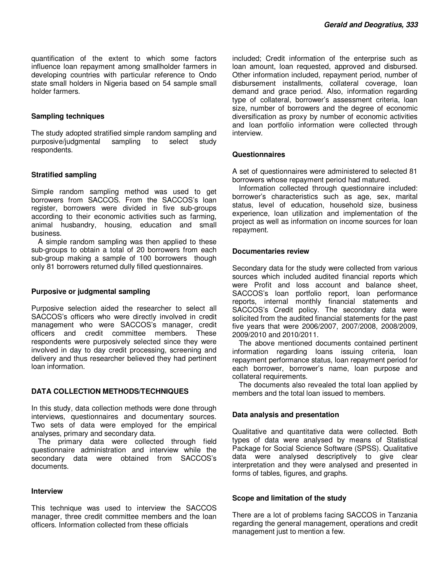quantification of the extent to which some factors influence loan repayment among smallholder farmers in developing countries with particular reference to Ondo state small holders in Nigeria based on 54 sample small holder farmers.

#### **Sampling techniques**

The study adopted stratified simple random sampling and purposive/judgmental sampling to select study respondents.

#### **Stratified sampling**

Simple random sampling method was used to get borrowers from SACCOS. From the SACCOS's loan register, borrowers were divided in five sub-groups according to their economic activities such as farming, animal husbandry, housing, education and small business.

A simple random sampling was then applied to these sub-groups to obtain a total of 20 borrowers from each sub-group making a sample of 100 borrowers though only 81 borrowers returned dully filled questionnaires.

#### **Purposive or judgmental sampling**

Purposive selection aided the researcher to select all SACCOS's officers who were directly involved in credit management who were SACCOS's manager, credit officers and credit committee members. These respondents were purposively selected since they were involved in day to day credit processing, screening and delivery and thus researcher believed they had pertinent loan information.

## **DATA COLLECTION METHODS/TECHNIQUES**

In this study, data collection methods were done through interviews, questionnaires and documentary sources. Two sets of data were employed for the empirical analyses, primary and secondary data.

The primary data were collected through field questionnaire administration and interview while the secondary data were obtained from SACCOS's documents.

#### **Interview**

This technique was used to interview the SACCOS manager, three credit committee members and the loan officers. Information collected from these officials

included; Credit information of the enterprise such as loan amount, loan requested, approved and disbursed. Other information included, repayment period, number of disbursement installments, collateral coverage, loan demand and grace period. Also, information regarding type of collateral, borrower's assessment criteria, loan size, number of borrowers and the degree of economic diversification as proxy by number of economic activities and loan portfolio information were collected through interview.

#### **Questionnaires**

A set of questionnaires were administered to selected 81 borrowers whose repayment period had matured.

Information collected through questionnaire included: borrower's characteristics such as age, sex, marital status, level of education, household size, business experience, loan utilization and implementation of the project as well as information on income sources for loan repayment.

#### **Documentaries review**

Secondary data for the study were collected from various sources which included audited financial reports which were Profit and loss account and balance sheet, SACCOS's loan portfolio report, loan performance reports, internal monthly financial statements and SACCOS's Credit policy. The secondary data were solicited from the audited financial statements for the past five years that were 2006/2007, 2007/2008, 2008/2009, 2009/2010 and 2010/2011.

The above mentioned documents contained pertinent information regarding loans issuing criteria, loan repayment performance status, loan repayment period for each borrower, borrower's name, loan purpose and collateral requirements.

The documents also revealed the total loan applied by members and the total loan issued to members.

## **Data analysis and presentation**

Qualitative and quantitative data were collected. Both types of data were analysed by means of Statistical Package for Social Science Software (SPSS). Qualitative data were analysed descriptively to give clear interpretation and they were analysed and presented in forms of tables, figures, and graphs.

## **Scope and limitation of the study**

There are a lot of problems facing SACCOS in Tanzania regarding the general management, operations and credit management just to mention a few.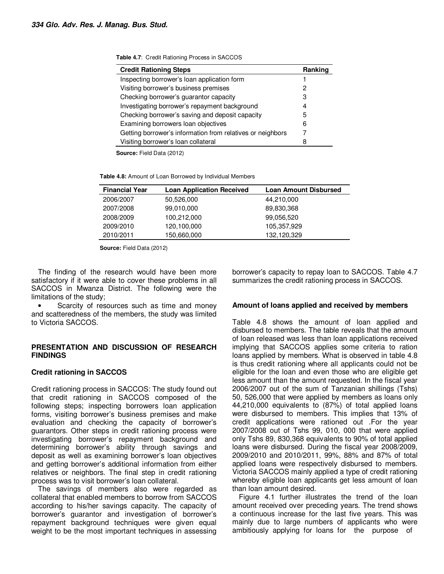| <b>Table 4.7:</b> Credit Rationing Process in SACCOS |  |  |  |  |  |
|------------------------------------------------------|--|--|--|--|--|
|------------------------------------------------------|--|--|--|--|--|

| <b>Credit Rationing Steps</b>                              | Ranking |
|------------------------------------------------------------|---------|
| Inspecting borrower's loan application form                |         |
| Visiting borrower's business premises                      | 2       |
| Checking borrower's guarantor capacity                     | 3       |
| Investigating borrower's repayment background              | 4       |
| Checking borrower's saving and deposit capacity            | 5       |
| Examining borrowers loan objectives                        | 6       |
| Getting borrower's information from relatives or neighbors |         |
| Visiting borrower's loan collateral                        |         |

**Table 4.8:** Amount of Loan Borrowed by Individual Members

| <b>Financial Year</b> | <b>Loan Application Received</b> | <b>Loan Amount Disbursed</b> |
|-----------------------|----------------------------------|------------------------------|
| 2006/2007             | 50,526,000                       | 44,210,000                   |
| 2007/2008             | 99,010,000                       | 89,830,368                   |
| 2008/2009             | 100,212,000                      | 99,056,520                   |
| 2009/2010             | 120,100,000                      | 105,357,929                  |
| 2010/2011             | 150,660,000                      | 132,120,329                  |

**Source:** Field Data (2012)

The finding of the research would have been more satisfactory if it were able to cover these problems in all SACCOS in Mwanza District. The following were the limitations of the study;

Scarcity of resources such as time and money and scatteredness of the members, the study was limited to Victoria SACCOS.

## **PRESENTATION AND DISCUSSION OF RESEARCH FINDINGS**

## **Credit rationing in SACCOS**

Credit rationing process in SACCOS: The study found out that credit rationing in SACCOS composed of the following steps; inspecting borrowers loan application forms, visiting borrower's business premises and make evaluation and checking the capacity of borrower's guarantors. Other steps in credit rationing process were investigating borrower's repayment background and determining borrower's ability through savings and deposit as well as examining borrower's loan objectives and getting borrower's additional information from either relatives or neighbors. The final step in credit rationing process was to visit borrower's loan collateral.

The savings of members also were regarded as collateral that enabled members to borrow from SACCOS according to his/her savings capacity. The capacity of borrower's guarantor and investigation of borrower's repayment background techniques were given equal weight to be the most important techniques in assessing borrower's capacity to repay loan to SACCOS. Table 4.7 summarizes the credit rationing process in SACCOS.

## **Amount of loans applied and received by members**

Table 4.8 shows the amount of loan applied and disbursed to members. The table reveals that the amount of loan released was less than loan applications received implying that SACCOS applies some criteria to ration loans applied by members. What is observed in table 4.8 is thus credit rationing where all applicants could not be eligible for the loan and even those who are eligible get less amount than the amount requested. In the fiscal year 2006/2007 out of the sum of Tanzanian shillings (Tshs) 50, 526,000 that were applied by members as loans only 44,210,000 equivalents to (87%) of total applied loans were disbursed to members. This implies that 13% of credit applications were rationed out .For the year 2007/2008 out of Tshs 99, 010, 000 that were applied only Tshs 89, 830,368 equivalents to 90% of total applied loans were disbursed. During the fiscal year 2008/2009, 2009/2010 and 2010/2011, 99%, 88% and 87% of total applied loans were respectively disbursed to members. Victoria SACCOS mainly applied a type of credit rationing whereby eligible loan applicants get less amount of loan than loan amount desired.

Figure 4.1 further illustrates the trend of the loan amount received over preceding years. The trend shows a continuous increase for the last five years. This was mainly due to large numbers of applicants who were ambitiously applying for loans for the purpose of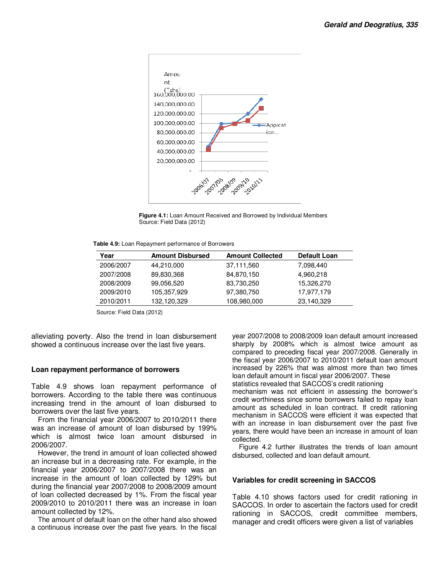

**Figure 4.1:** Loan Amount Received and Borrowed by Individual Members Source: Field Data (2012)

**Table 4.9:** Loan Repayment performance of Borrowers

| Year      | <b>Amount Disbursed</b> | <b>Amount Collected</b> | Default Loan |
|-----------|-------------------------|-------------------------|--------------|
| 2006/2007 | 44,210,000              | 37,111,560              | 7,098,440    |
| 2007/2008 | 89,830,368              | 84,870,150              | 4,960,218    |
| 2008/2009 | 99,056,520              | 83,730,250              | 15,326,270   |
| 2009/2010 | 105,357,929             | 97,380,750              | 17,977,179   |
| 2010/2011 | 132,120,329             | 108,980,000             | 23,140,329   |

Source: Field Data (2012)

alleviating poverty. Also the trend in loan disbursement showed a continuous increase over the last five years.

#### **Loan repayment performance of borrowers**

Table 4.9 shows loan repayment performance of borrowers. According to the table there was continuous increasing trend in the amount of loan disbursed to borrowers over the last five years.

From the financial year 2006/2007 to 2010/2011 there was an increase of amount of loan disbursed by 199% which is almost twice loan amount disbursed in 2006/2007.

However, the trend in amount of loan collected showed an increase but in a decreasing rate. For example, in the financial year 2006/2007 to 2007/2008 there was an increase in the amount of loan collected by 129% but during the financial year 2007/2008 to 2008/2009 amount of loan collected decreased by 1%. From the fiscal year 2009/2010 to 2010/2011 there was an increase in loan amount collected by 12%.

The amount of default loan on the other hand also showed a continuous increase over the past five years. In the fiscal

year 2007/2008 to 2008/2009 loan default amount increased sharply by 2008% which is almost twice amount as compared to preceding fiscal year 2007/2008. Generally in the fiscal year 2006/2007 to 2010/2011 default loan amount increased by 226% that was almost more than two times loan default amount in fiscal year 2006/2007. These statistics revealed that SACCOS's credit rationing

mechanism was not efficient in assessing the borrower's credit worthiness since some borrowers failed to repay loan amount as scheduled in loan contract. If credit rationing mechanism in SACCOS were efficient it was expected that with an increase in loan disbursement over the past five years, there would have been an increase in amount of loan collected.

Figure 4.2 further illustrates the trends of loan amount disbursed, collected and loan default amount.

#### **Variables for credit screening in SACCOS**

Table 4.10 shows factors used for credit rationing in SACCOS. In order to ascertain the factors used for credit rationing in SACCOS, credit committee members, manager and credit officers were given a list of variables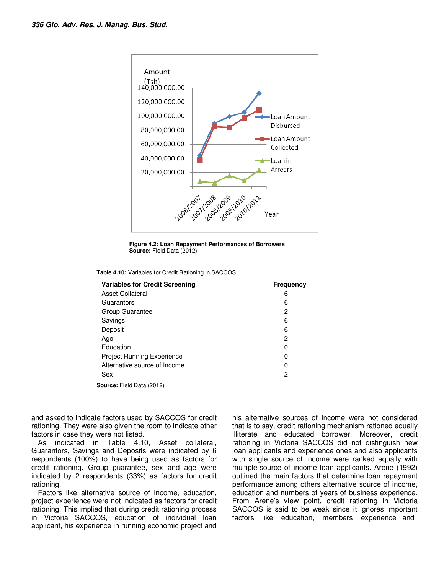

**Figure 4.2: Loan Repayment Performances of Borrowers Source:** Field Data (2012)

**Table 4.10:** Variables for Credit Rationing in SACCOS

| <b>Variables for Credit Screening</b> | Frequency |  |
|---------------------------------------|-----------|--|
| <b>Asset Collateral</b>               | 6         |  |
| Guarantors                            | 6         |  |
| Group Guarantee                       | 2         |  |
| Savings                               | 6         |  |
| Deposit                               | 6         |  |
| Age                                   | 2         |  |
| Education                             | 0         |  |
| <b>Project Running Experience</b>     | 0         |  |
| Alternative source of Income          | 0         |  |
| Sex                                   | 2         |  |

and asked to indicate factors used by SACCOS for credit rationing. They were also given the room to indicate other factors in case they were not listed.

As indicated in Table 4.10, Asset collateral, Guarantors, Savings and Deposits were indicated by 6 respondents (100%) to have being used as factors for credit rationing. Group guarantee, sex and age were indicated by 2 respondents (33%) as factors for credit rationing.

Factors like alternative source of income, education, project experience were not indicated as factors for credit rationing. This implied that during credit rationing process in Victoria SACCOS, education of individual loan applicant, his experience in running economic project and

his alternative sources of income were not considered that is to say, credit rationing mechanism rationed equally illiterate and educated borrower. Moreover, credit rationing in Victoria SACCOS did not distinguish new loan applicants and experience ones and also applicants with single source of income were ranked equally with multiple-source of income loan applicants. Arene (1992) outlined the main factors that determine loan repayment performance among others alternative source of income, education and numbers of years of business experience. From Arene's view point, credit rationing in Victoria SACCOS is said to be weak since it ignores important factors like education, members experience and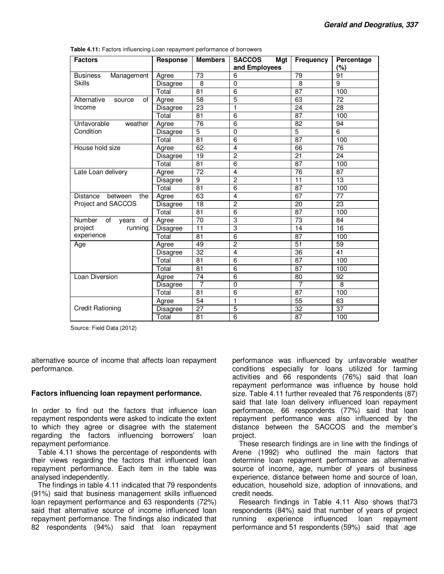| <b>Factors</b>                     | Response        | <b>Members</b>  | <b>SACCOS</b><br>Mgt | <b>Frequency</b> | Percentage      |
|------------------------------------|-----------------|-----------------|----------------------|------------------|-----------------|
|                                    |                 |                 | and Employees        |                  | (%)             |
| <b>Business</b><br>Management      | Agree           | $\overline{73}$ | 6                    | $\overline{79}$  | 91              |
| <b>Skills</b>                      | <b>Disagree</b> | 8               | $\mathbf 0$          | 8                | 9               |
|                                    | Total           | 81              | 6                    | 87               | 100             |
| 0f<br>Alternative<br>source        | Agree           | $\overline{58}$ | 5                    | 63               | 72              |
| Income                             | <b>Disagree</b> | $\overline{23}$ | $\mathbf{1}$         | $\overline{24}$  | 28              |
|                                    | Total           | 81              | 6                    | 87               | 100             |
| Unfavorable<br>weather             | Agree           | $\overline{76}$ | 6                    | 82               | 94              |
| Condition                          | Disagree        | $\overline{5}$  | 0                    | $\overline{5}$   | 6               |
|                                    | Total           | $\overline{81}$ | 6                    | 87               | 100             |
| House hold size                    | Agree           | 62              | $\overline{4}$       | 66               | 76              |
|                                    | Disagree        | 19              | $\overline{2}$       | $\overline{21}$  | 24              |
|                                    | Total           | 81              | 6                    | $\overline{87}$  | 100             |
| Late Loan delivery                 | Agree           | $\overline{72}$ | $\overline{4}$       | $\overline{76}$  | 87              |
|                                    | <b>Disagree</b> | 9               | $\overline{2}$       | 11               | 13              |
|                                    | Total           | 81              | 6                    | 87               | 100             |
| Distance<br>between<br>the         | Agree           | 63              | 4                    | 67               | $\overline{77}$ |
| Project and SACCOS                 | <b>Disagree</b> | 18              | $\overline{2}$       | 20               | 23              |
|                                    | Total           | 81              | 6                    | 87               | 100             |
| <b>Number</b><br>οf<br>οf<br>years | Agree           | 70              | 3                    | 73               | 84              |
| project<br>running                 | <b>Disagree</b> | 11              | 3                    | 14               | 16              |
| experience                         | Total           | 81              | $\overline{6}$       | $\overline{87}$  | 100             |
| Age                                | Agree           | 49              | $\overline{2}$       | 51               | 59              |
|                                    | Disagree        | 32              | 4                    | 36               | 41              |
|                                    | Total           | 81              | 6                    | 87               | 100             |
|                                    | Total           | 81              | $\overline{6}$       | $\overline{87}$  | 100             |
| Loan Diversion                     | Agree           | $\overline{74}$ | 6                    | 80               | 92              |
|                                    | Disagree        | $\overline{7}$  | $\overline{0}$       | 7                | 8               |
|                                    | Total           | 81              | 6                    | 87               | 100             |
|                                    | Agree           | 54              | 1                    | 55               | 63              |
| <b>Credit Rationing</b>            | Disagree        | 27              | 5                    | $\overline{32}$  | 37              |
|                                    | Total           | 81              | $\overline{6}$       | 87               | 100             |

**Table 4.11:** Factors influencing Loan repayment performance of borrowers

alternative source of income that affects loan repayment performance.

## **Factors influencing loan repayment performance.**

In order to find out the factors that influence loan repayment respondents were asked to indicate the extent to which they agree or disagree with the statement regarding the factors influencing borrowers' loan repayment performance.

Table 4.11 shows the percentage of respondents with their views regarding the factors that influenced loan repayment performance. Each item in the table was analysed independently.

The findings in table 4.11 indicated that 79 respondents (91%) said that business management skills influenced loan repayment performance and 63 respondents (72%) said that alternative source of income influenced loan repayment performance. The findings also indicated that 82 respondents (94%) said that loan repayment

performance was influenced by unfavorable weather conditions especially for loans utilized for farming activities and 66 respondents (76%) said that loan repayment performance was influence by house hold size. Table 4.11 further revealed that 76 respondents (87) said that late loan delivery influenced loan repayment performance, 66 respondents (77%) said that loan repayment performance was also influenced by the distance between the SACCOS and the member's project.

These research findings are in line with the findings of Arene (1992) who outlined the main factors that determine loan repayment performance as alternative source of income, age, number of years of business experience, distance between home and source of loan, education, household size, adoption of innovations, and credit needs.

Research findings in Table 4.11 Also shows that73 respondents (84%) said that number of years of project running experience influenced loan repayment performance and 51 respondents (59%) said that age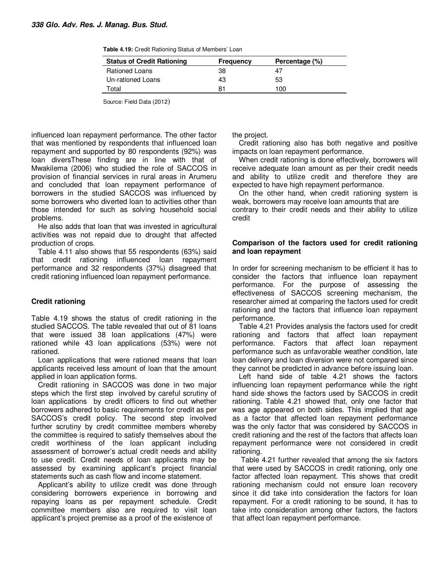| <b>Status of Credit Rationing</b> | <b>Frequency</b> | Percentage (%) |
|-----------------------------------|------------------|----------------|
| <b>Rationed Loans</b>             | 38               | 4/             |
| Un-rationed Loans                 | 43               | 53             |
| Total                             | 81               | 100            |

influenced loan repayment performance. The other factor that was mentioned by respondents that influenced loan repayment and supported by 80 respondents (92%) was loan diversThese finding are in line with that of Mwakilema (2006) who studied the role of SACCOS in provision of financial services in rural areas in Arumeru and concluded that loan repayment performance of borrowers in the studied SACCOS was influenced by some borrowers who diverted loan to activities other than those intended for such as solving household social problems.

He also adds that loan that was invested in agricultural activities was not repaid due to drought that affected production of crops.

Table 4.11 also shows that 55 respondents (63%) said that credit rationing influenced loan repayment performance and 32 respondents (37%) disagreed that credit rationing influenced loan repayment performance.

## **Credit rationing**

Table 4.19 shows the status of credit rationing in the studied SACCOS. The table revealed that out of 81 loans that were issued 38 loan applications (47%) were rationed while 43 loan applications (53%) were not rationed.

Loan applications that were rationed means that loan applicants received less amount of loan that the amount applied in loan application forms.

Credit rationing in SACCOS was done in two major steps which the first step involved by careful scrutiny of loan applications by credit officers to find out whether borrowers adhered to basic requirements for credit as per SACCOS's credit policy. The second step involved further scrutiny by credit committee members whereby the committee is required to satisfy themselves about the credit worthiness of the loan applicant including assessment of borrower's actual credit needs and ability to use credit. Credit needs of loan applicants may be assessed by examining applicant's project financial statements such as cash flow and income statement.

Applicant's ability to utilize credit was done through considering borrowers experience in borrowing and repaying loans as per repayment schedule. Credit committee members also are required to visit loan applicant's project premise as a proof of the existence of

the project.

Credit rationing also has both negative and positive impacts on loan repayment performance.

When credit rationing is done effectively, borrowers will receive adequate loan amount as per their credit needs and ability to utilize credit and therefore they are expected to have high repayment performance.

On the other hand, when credit rationing system is weak, borrowers may receive loan amounts that are contrary to their credit needs and their ability to utilize credit

## **Comparison of the factors used for credit rationing and loan repayment**

In order for screening mechanism to be efficient it has to consider the factors that influence loan repayment performance. For the purpose of assessing the effectiveness of SACCOS screening mechanism, the researcher aimed at comparing the factors used for credit rationing and the factors that influence loan repayment performance.

Table 4.21 Provides analysis the factors used for credit rationing and factors that affect loan repayment performance. Factors that affect loan repayment performance such as unfavorable weather condition, late loan delivery and loan diversion were not compared since they cannot be predicted in advance before issuing loan.

Left hand side of table 4.21 shows the factors influencing loan repayment performance while the right hand side shows the factors used by SACCOS in credit rationing. Table 4.21 showed that, only one factor that was age appeared on both sides. This implied that age as a factor that affected loan repayment performance was the only factor that was considered by SACCOS in credit rationing and the rest of the factors that affects loan repayment performance were not considered in credit rationing.

 Table 4.21 further revealed that among the six factors that were used by SACCOS in credit rationing, only one factor affected loan repayment. This shows that credit rationing mechanism could not ensure loan recovery since it did take into consideration the factors for loan repayment. For a credit rationing to be sound, it has to take into consideration among other factors, the factors that affect loan repayment performance.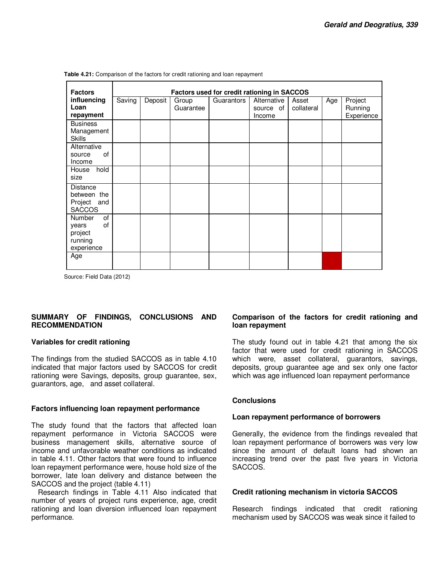| <b>Factors</b>                                                         | Factors used for credit rationing in SACCOS |         |                    |            |                                    |                     |     |                                  |
|------------------------------------------------------------------------|---------------------------------------------|---------|--------------------|------------|------------------------------------|---------------------|-----|----------------------------------|
| influencing<br>Loan<br>repayment                                       | Saving                                      | Deposit | Group<br>Guarantee | Guarantors | Alternative<br>source of<br>Income | Asset<br>collateral | Age | Project<br>Running<br>Experience |
| <b>Business</b><br>Management<br><b>Skills</b>                         |                                             |         |                    |            |                                    |                     |     |                                  |
| Alternative<br>of<br>source<br>Income                                  |                                             |         |                    |            |                                    |                     |     |                                  |
| hold<br>House<br>size                                                  |                                             |         |                    |            |                                    |                     |     |                                  |
| <b>Distance</b><br>between the<br>Project<br>and<br><b>SACCOS</b>      |                                             |         |                    |            |                                    |                     |     |                                  |
| of<br><b>Number</b><br>0f<br>years<br>project<br>running<br>experience |                                             |         |                    |            |                                    |                     |     |                                  |
| Age                                                                    |                                             |         |                    |            |                                    |                     |     |                                  |

**Table 4.21:** Comparison of the factors for credit rationing and loan repayment

Source: Field Data (2012)

## **SUMMARY OF FINDINGS, CONCLUSIONS AND RECOMMENDATION**

#### **Variables for credit rationing**

The findings from the studied SACCOS as in table 4.10 indicated that major factors used by SACCOS for credit rationing were Savings, deposits, group guarantee, sex, guarantors, age, and asset collateral.

## **Factors influencing loan repayment performance**

The study found that the factors that affected loan repayment performance in Victoria SACCOS were business management skills, alternative source of income and unfavorable weather conditions as indicated in table 4.11. Other factors that were found to influence loan repayment performance were, house hold size of the borrower, late loan delivery and distance between the SACCOS and the project (table 4.11)

Research findings in Table 4.11 Also indicated that number of years of project runs experience, age, credit rationing and loan diversion influenced loan repayment performance.

## **Comparison of the factors for credit rationing and loan repayment**

The study found out in table 4.21 that among the six factor that were used for credit rationing in SACCOS which were, asset collateral, guarantors, savings, deposits, group guarantee age and sex only one factor which was age influenced loan repayment performance

## **Conclusions**

## **Loan repayment performance of borrowers**

Generally, the evidence from the findings revealed that loan repayment performance of borrowers was very low since the amount of default loans had shown an increasing trend over the past five years in Victoria SACCOS.

## **Credit rationing mechanism in victoria SACCOS**

Research findings indicated that credit rationing mechanism used by SACCOS was weak since it failed to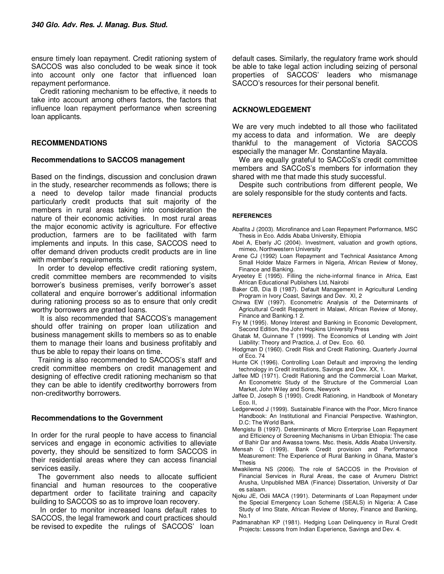ensure timely loan repayment. Credit rationing system of SACCOS was also concluded to be weak since it took into account only one factor that influenced loan repayment performance.

 Credit rationing mechanism to be effective, it needs to take into account among others factors, the factors that influence loan repayment performance when screening loan applicants.

## **RECOMMENDATIONS**

#### **Recommendations to SACCOS management**

Based on the findings, discussion and conclusion drawn in the study, researcher recommends as follows; there is a need to develop tailor made financial products particularly credit products that suit majority of the members in rural areas taking into consideration the nature of their economic activities. In most rural areas the major economic activity is agriculture. For effective production, farmers are to be facilitated with farm implements and inputs. In this case, SACCOS need to offer demand driven products credit products are in line with member's requirements.

In order to develop effective credit rationing system, credit committee members are recommended to visits borrower's business premises, verify borrower's asset collateral and enquire borrower's additional information during rationing process so as to ensure that only credit worthy borrowers are granted loans.

 It is also recommended that SACCOS's management should offer training on proper loan utilization and business management skills to members so as to enable them to manage their loans and business profitably and thus be able to repay their loans on time.

Training is also recommended to SACCOS's staff and credit committee members on credit management and designing of effective credit rationing mechanism so that they can be able to identify creditworthy borrowers from non-creditworthy borrowers.

## **Recommendations to the Government**

In order for the rural people to have access to financial services and engage in economic activities to alleviate poverty, they should be sensitized to form SACCOS in their residential areas where they can access financial services easily.

The government also needs to allocate sufficient financial and human resources to the cooperative department order to facilitate training and capacity building to SACCOS so as to improve loan recovery.

 In order to monitor increased loans default rates to SACCOS, the legal framework and court practices should be revised to expedite the rulings of SACCOS' loan

default cases. Similarly, the regulatory frame work should be able to take legal action including seizing of personal properties of SACCOS' leaders who mismanage SACCO's resources for their personal benefit.

## **ACKNOWLEDGEMENT**

We are very much indebted to all those who facilitated my access to data and information. We are deeply thankful to the management of Victoria SACCOS especially the manager Mr. Constantine Mayala.

We are equally grateful to SACCoS's credit committee members and SACCoS's members for information they shared with me that made this study successful.

Despite such contributions from different people, We are solely responsible for the study contents and facts.

#### **REFERENCES**

- Abafita J (2003). Microfinance and Loan Repayment Performance, MSC Thesis in Eco. Addis Ababa University, Ethiopia
- Abel A, Eberly JC (2004). Investment, valuation and growth options, mimeo, Northwestern University
- Arene CJ (1992) Loan Repayment and Technical Assistance Among Small Holder Maize Farmers in Nigeria, African Review of Money, Finance and Banking.
- Aryeetey E (1995). Filling the niche-informal finance in Africa, East African Educational Publishers Ltd, Nairobi
- Baker CB, Dia B (1987). Default Management in Agricultural Lending Program in Ivory Coast, Savings and Dev. XI, 2
- Chirwa EW (1997). Econometric Analysis of the Determinants of Agricultural Credit Repayment in Malawi, African Review of Money, Finance and Banking.1 2.
- Fry M (1995). Money Interest and Banking in Economic Development, Second Edition, the John Hopkins University Press
- Ghatak M, Guinnane T (1999). The Economics of Lending with Joint Liability: Theory and Practice, J. of Dev. Eco. 60.
- Hodgman D (1960). Credit Risk and Credit Rationing, Quarterly Journal of Eco. 74
- Hunte CK (1996). Controlling Loan Default and improving the lending technology in Credit institutions, Savings and Dev. XX, 1.
- Jaffee MD (1971). Credit Rationing and the Commercial Loan Market, An Econometric Study of the Structure of the Commercial Loan Market, John Wiley and Sons, Newyork
- Jaffee D, Joseph S (1990). Credit Rationing, in Handbook of Monetary Eco. II,
- Ledgerwood J (1999). Sustainable Finance with the Poor, Micro finance Handbook: An Institutional and Financial Perspective. Washington, D.C: The World Bank.
- Mengistu B (1997). Determinants of Micro Enterprise Loan Repayment and Efficiency of Screening Mechanisms in Urban Ethiopia: The case of Bahir Dar and Awassa towns. Msc. thesis, Addis Ababa University.
- Mensah C (1999). Bank Credit provision and Performance Measurement: The Experience of Rural Banking in Ghana, Master's Thesis
- Mwakilema NS (2006). The role of SACCOS in the Provision of Financial Services in Rural Areas, the case of Arumeru District Arusha, Unpublished MBA (Finance) Dissertation, University of Dar es salaam.
- Njoku JE, Odii MACA (1991). Determinants of Loan Repayment under the Special Emergency Loan Scheme (SEALS) in Nigeria: A Case Study of Imo State, African Review of Money, Finance and Banking, No.1
- Padmanabhan KP (1981). Hedging Loan Delinquency in Rural Credit Projects: Lessons from Indian Experience, Savings and Dev. 4.